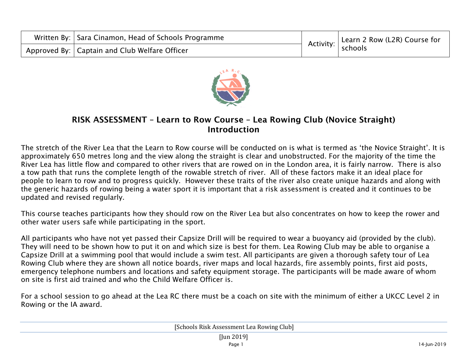| Written By:   Sara Cinamon, Head of Schools Programme | Activity: | Learn 2 Row (L2R) Course for |
|-------------------------------------------------------|-----------|------------------------------|
| Approved By:   Captain and Club Welfare Officer       |           | schools                      |



## RISK ASSESSMENT – Learn to Row Course – Lea Rowing Club (Novice Straight) Introduction

The stretch of the River Lea that the Learn to Row course will be conducted on is what is termed as 'the Novice Straight'. It is approximately 650 metres long and the view along the straight is clear and unobstructed. For the majority of the time the River Lea has little flow and compared to other rivers that are rowed on in the London area, it is fairly narrow. There is also a tow path that runs the complete length of the rowable stretch of river. All of these factors make it an ideal place for people to learn to row and to progress quickly. However these traits of the river also create unique hazards and along with the generic hazards of rowing being a water sport it is important that a risk assessment is created and it continues to be updated and revised regularly.

This course teaches participants how they should row on the River Lea but also concentrates on how to keep the rower and other water users safe while participating in the sport.

All participants who have not yet passed their Capsize Drill will be required to wear a buoyancy aid (provided by the club). They will need to be shown how to put it on and which size is best for them. Lea Rowing Club may be able to organise a Capsize Drill at a swimming pool that would include a swim test. All participants are given a thorough safety tour of Lea Rowing Club where they are shown all notice boards, river maps and local hazards, fire assembly points, first aid posts, emergency telephone numbers and locations and safety equipment storage. The participants will be made aware of whom on site is first aid trained and who the Child Welfare Officer is.

For a school session to go ahead at the Lea RC there must be a coach on site with the minimum of either a UKCC Level 2 in Rowing or the IA award.

[Schools Risk Assessment Lea Rowing Club] [Jun 2019] Page 1 14-Jun-2019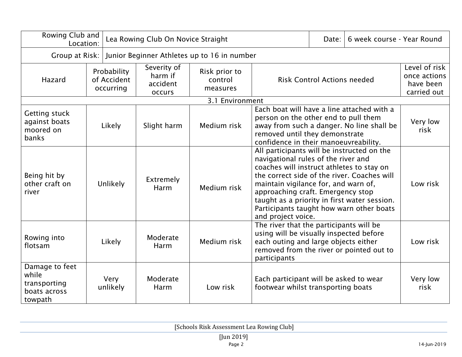|                                                                    | Rowing Club and<br>Lea Rowing Club On Novice Straight<br>Location: |                  |                                                     |                                      |                                                                                                                                                                                                                                                                                                                                                                              | Date: | 6 week course - Year Round                                |          |
|--------------------------------------------------------------------|--------------------------------------------------------------------|------------------|-----------------------------------------------------|--------------------------------------|------------------------------------------------------------------------------------------------------------------------------------------------------------------------------------------------------------------------------------------------------------------------------------------------------------------------------------------------------------------------------|-------|-----------------------------------------------------------|----------|
| Junior Beginner Athletes up to 16 in number<br>Group at Risk:      |                                                                    |                  |                                                     |                                      |                                                                                                                                                                                                                                                                                                                                                                              |       |                                                           |          |
| Hazard                                                             | Probability<br>of Accident<br>occurring                            |                  | Severity of<br>harm if<br>accident<br><b>occurs</b> | Risk prior to<br>control<br>measures | <b>Risk Control Actions needed</b>                                                                                                                                                                                                                                                                                                                                           |       | Level of risk<br>once actions<br>have been<br>carried out |          |
|                                                                    |                                                                    |                  |                                                     | 3.1 Environment                      |                                                                                                                                                                                                                                                                                                                                                                              |       |                                                           |          |
| Getting stuck<br>against boats<br>moored on<br>banks               | Likely                                                             |                  | Slight harm                                         | Medium risk                          | Each boat will have a line attached with a<br>person on the other end to pull them<br>away from such a danger. No line shall be<br>removed until they demonstrate<br>confidence in their manoeuvreability.                                                                                                                                                                   |       | Very low<br>risk                                          |          |
| Being hit by<br>other craft on<br>river                            |                                                                    | Unlikely         | Extremely<br>Harm                                   | Medium risk                          | All participants will be instructed on the<br>navigational rules of the river and<br>coaches will instruct athletes to stay on<br>the correct side of the river. Coaches will<br>maintain vigilance for, and warn of,<br>approaching craft. Emergency stop<br>taught as a priority in first water session.<br>Participants taught how warn other boats<br>and project voice. |       |                                                           | Low risk |
| Rowing into<br>flotsam                                             |                                                                    | Likely           | Moderate<br>Harm                                    | Medium risk                          | The river that the participants will be<br>using will be visually inspected before<br>each outing and large objects either<br>removed from the river or pointed out to<br>participants                                                                                                                                                                                       |       | Low risk                                                  |          |
| Damage to feet<br>while<br>transporting<br>boats across<br>towpath |                                                                    | Very<br>unlikely | Moderate<br>Harm                                    | Low risk                             | Each participant will be asked to wear<br>footwear whilst transporting boats                                                                                                                                                                                                                                                                                                 |       | Very low<br>risk                                          |          |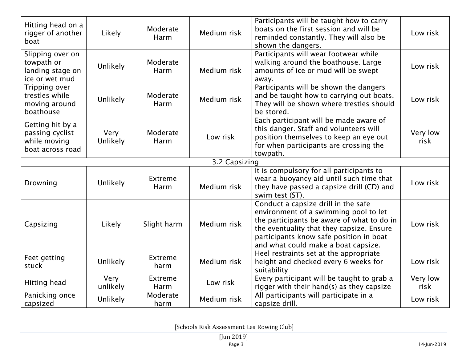| Hitting head on a<br>rigger of another<br>boat                          | Likely           | Moderate<br>Harm | Medium risk   | Participants will be taught how to carry<br>boats on the first session and will be<br>reminded constantly. They will also be<br>shown the dangers.                                                                                                        | Low risk         |
|-------------------------------------------------------------------------|------------------|------------------|---------------|-----------------------------------------------------------------------------------------------------------------------------------------------------------------------------------------------------------------------------------------------------------|------------------|
| Slipping over on<br>towpath or<br>landing stage on<br>ice or wet mud    | Unlikely         | Moderate<br>Harm | Medium risk   | Participants will wear footwear while<br>walking around the boathouse. Large<br>amounts of ice or mud will be swept<br>away.                                                                                                                              | Low risk         |
| Tripping over<br>trestles while<br>moving around<br>boathouse           | Unlikely         | Moderate<br>Harm | Medium risk   | Participants will be shown the dangers<br>and be taught how to carrying out boats.<br>They will be shown where trestles should<br>be stored.                                                                                                              | Low risk         |
| Getting hit by a<br>passing cyclist<br>while moving<br>boat across road | Very<br>Unlikely | Moderate<br>Harm | Low risk      | Each participant will be made aware of<br>this danger. Staff and volunteers will<br>position themselves to keep an eye out<br>for when participants are crossing the<br>towpath.                                                                          | Very low<br>risk |
|                                                                         |                  |                  | 3.2 Capsizing |                                                                                                                                                                                                                                                           |                  |
| Drowning                                                                | <b>Unlikely</b>  | Extreme<br>Harm  | Medium risk   | It is compulsory for all participants to<br>wear a buoyancy aid until such time that<br>they have passed a capsize drill (CD) and<br>swim test (ST).                                                                                                      | Low risk         |
| Capsizing                                                               | Likely           | Slight harm      | Medium risk   | Conduct a capsize drill in the safe<br>environment of a swimming pool to let<br>the participants be aware of what to do in<br>the eventuality that they capsize. Ensure<br>participants know safe position in boat<br>and what could make a boat capsize. | Low risk         |
| Feet getting<br>stuck                                                   | Unlikely         | Extreme<br>harm  | Medium risk   | Heel restraints set at the appropriate<br>height and checked every 6 weeks for<br>suitability                                                                                                                                                             | Low risk         |
| Hitting head                                                            | Very<br>unlikely | Extreme<br>Harm  | Low risk      | Every participant will be taught to grab a<br>rigger with their hand(s) as they capsize                                                                                                                                                                   | Very low<br>risk |
| Panicking once<br>capsized                                              | Unlikely         | Moderate<br>harm | Medium risk   | All participants will participate in a<br>capsize drill.                                                                                                                                                                                                  | Low risk         |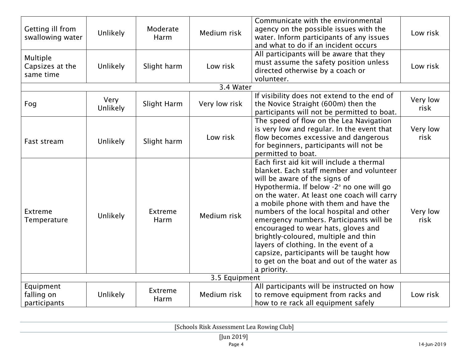| Getting ill from<br>swallowing water     | Unlikely                | Moderate<br>Harm | Medium risk   | Communicate with the environmental<br>agency on the possible issues with the<br>water. Inform participants of any issues<br>and what to do if an incident occurs                                                                                                                                                                                                                                                                                                                                                                                                                  | Low risk         |  |
|------------------------------------------|-------------------------|------------------|---------------|-----------------------------------------------------------------------------------------------------------------------------------------------------------------------------------------------------------------------------------------------------------------------------------------------------------------------------------------------------------------------------------------------------------------------------------------------------------------------------------------------------------------------------------------------------------------------------------|------------------|--|
| Multiple<br>Capsizes at the<br>same time | Unlikely                | Slight harm      | Low risk      | All participants will be aware that they<br>must assume the safety position unless<br>directed otherwise by a coach or<br>volunteer.                                                                                                                                                                                                                                                                                                                                                                                                                                              | Low risk         |  |
|                                          |                         |                  | 3.4 Water     |                                                                                                                                                                                                                                                                                                                                                                                                                                                                                                                                                                                   |                  |  |
| Fog                                      | Very<br><b>Unlikely</b> | Slight Harm      | Very low risk | If visibility does not extend to the end of<br>the Novice Straight (600m) then the<br>participants will not be permitted to boat.                                                                                                                                                                                                                                                                                                                                                                                                                                                 | Very low<br>risk |  |
| Fast stream                              | Unlikely                | Slight harm      | Low risk      | The speed of flow on the Lea Navigation<br>is very low and regular. In the event that<br>flow becomes excessive and dangerous<br>for beginners, participants will not be<br>permitted to boat.                                                                                                                                                                                                                                                                                                                                                                                    | Very low<br>risk |  |
| Extreme<br>Temperature                   | Unlikely                | Extreme<br>Harm  | Medium risk   | Each first aid kit will include a thermal<br>blanket. Each staff member and volunteer<br>will be aware of the signs of<br>Hypothermia. If below -2° no one will go<br>on the water. At least one coach will carry<br>a mobile phone with them and have the<br>numbers of the local hospital and other<br>emergency numbers. Participants will be<br>encouraged to wear hats, gloves and<br>brightly-coloured, multiple and thin<br>layers of clothing. In the event of a<br>capsize, participants will be taught how<br>to get on the boat and out of the water as<br>a priority. | Very low<br>risk |  |
| 3.5 Equipment                            |                         |                  |               |                                                                                                                                                                                                                                                                                                                                                                                                                                                                                                                                                                                   |                  |  |
| Equipment<br>falling on<br>participants  | <b>Unlikely</b>         | Extreme<br>Harm  | Medium risk   | All participants will be instructed on how<br>to remove equipment from racks and<br>how to re rack all equipment safely                                                                                                                                                                                                                                                                                                                                                                                                                                                           | Low risk         |  |

[Schools Risk Assessment Lea Rowing Club]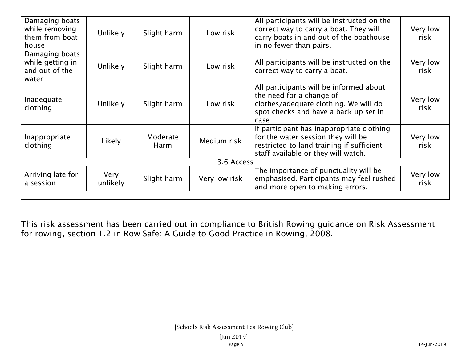| Damaging boats<br>while removing<br>them from boat<br>house   | <b>Unlikely</b>  | Slight harm      | Low risk      | All participants will be instructed on the<br>correct way to carry a boat. They will<br>carry boats in and out of the boathouse<br>in no fewer than pairs.          | Very low<br>risk |  |  |
|---------------------------------------------------------------|------------------|------------------|---------------|---------------------------------------------------------------------------------------------------------------------------------------------------------------------|------------------|--|--|
| Damaging boats<br>while getting in<br>and out of the<br>water | <b>Unlikely</b>  | Slight harm      | Low risk      | All participants will be instructed on the<br>correct way to carry a boat.                                                                                          | Very low<br>risk |  |  |
| Inadequate<br>clothing                                        | <b>Unlikely</b>  | Slight harm      | Low risk      | All participants will be informed about<br>the need for a change of<br>clothes/adequate clothing. We will do<br>spot checks and have a back up set in<br>case.      | Very low<br>risk |  |  |
| Inappropriate<br>clothing                                     | Likely           | Moderate<br>Harm | Medium risk   | If participant has inappropriate clothing<br>for the water session they will be<br>restricted to land training if sufficient<br>staff available or they will watch. | Very low<br>risk |  |  |
| 3.6 Access                                                    |                  |                  |               |                                                                                                                                                                     |                  |  |  |
| Arriving late for<br>a session                                | Very<br>unlikely | Slight harm      | Very low risk | The importance of punctuality will be<br>emphasised. Participants may feel rushed<br>and more open to making errors.                                                | Very low<br>risk |  |  |
|                                                               |                  |                  |               |                                                                                                                                                                     |                  |  |  |

This risk assessment has been carried out in compliance to British Rowing guidance on Risk Assessment for rowing, section 1.2 in Row Safe: A Guide to Good Practice in Rowing, 2008.